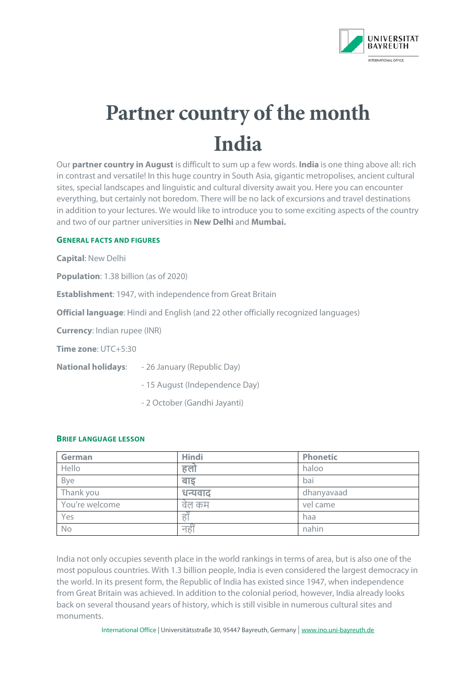

# **Partner country of the month India**

Our **partner country in August** is difficult to sum up a few words. **India** is one thing above all: rich in contrast and versatile! In this huge country in South Asia, gigantic metropolises, ancient cultural sites, special landscapes and linguistic and cultural diversity await you. Here you can encounter everything, but certainly not boredom. There will be no lack of excursions and travel destinations in addition to your lectures. We would like to introduce you to some exciting aspects of the country and two of our partner universities in **New Delhi** and **Mumbai.** 

#### **GENERAL FACTS AND FIGURES**

**Capital**: New Delhi

**Population**: 1.38 billion (as of 2020)

**Establishment**: 1947, with independence from Great Britain

**Official language**: Hindi and English (and 22 other officially recognized languages)

**Currency**: Indian rupee (INR)

**Time zone**: UTC+5:30

**National holidays**: - 26 January (Republic Day)

- 15 August (Independence Day)

- 2 October (Gandhi Jayanti)

#### **BRIEF LANGUAGE LESSON**

| <b>German</b>  | <b>Hindi</b> | <b>Phonetic</b> |
|----------------|--------------|-----------------|
| Hello          | हलो          | haloo           |
| Bye            | बाड          | bai             |
| Thank you      | धन्यवाद      | dhanyavaad      |
| You're welcome | वेल कम       | vel came        |
| Yes            | हाँ          | haa             |
| No             | नहीं         | nahin           |

India not only occupies seventh place in the world rankings in terms of area, but is also one of the most populous countries. With 1.3 billion people, India is even considered the largest democracy in the world. In its present form, the Republic of India has existed since 1947, when independence from Great Britain was achieved. In addition to the colonial period, however, India already looks back on several thousand years of history, which is still visible in numerous cultural sites and monuments.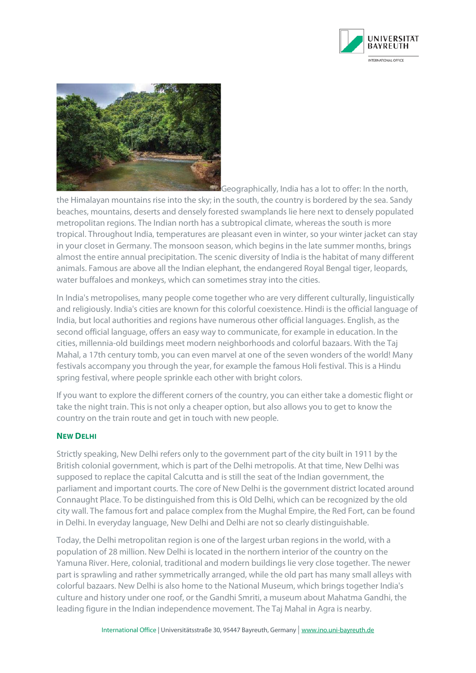



**Geographically, India has a lot to offer: In the north,** 

the Himalayan mountains rise into the sky; in the south, the country is bordered by the sea. Sandy beaches, mountains, deserts and densely forested swamplands lie here next to densely populated metropolitan regions. The Indian north has a subtropical climate, whereas the south is more tropical. Throughout India, temperatures are pleasant even in winter, so your winter jacket can stay in your closet in Germany. The monsoon season, which begins in the late summer months, brings almost the entire annual precipitation. The scenic diversity of India is the habitat of many different animals. Famous are above all the Indian elephant, the endangered Royal Bengal tiger, leopards, water buffaloes and monkeys, which can sometimes stray into the cities.

In India's metropolises, many people come together who are very different culturally, linguistically and religiously. India's cities are known for this colorful coexistence. Hindi is the official language of India, but local authorities and regions have numerous other official languages. English, as the second official language, offers an easy way to communicate, for example in education. In the cities, millennia-old buildings meet modern neighborhoods and colorful bazaars. With the Taj Mahal, a 17th century tomb, you can even marvel at one of the seven wonders of the world! Many festivals accompany you through the year, for example the famous Holi festival. This is a Hindu spring festival, where people sprinkle each other with bright colors.

If you want to explore the different corners of the country, you can either take a domestic flight or take the night train. This is not only a cheaper option, but also allows you to get to know the country on the train route and get in touch with new people.

#### **NEW DELHI**

Strictly speaking, New Delhi refers only to the government part of the city built in 1911 by the British colonial government, which is part of the Delhi metropolis. At that time, New Delhi was supposed to replace the capital Calcutta and is still the seat of the Indian government, the parliament and important courts. The core of New Delhi is the government district located around Connaught Place. To be distinguished from this is Old Delhi, which can be recognized by the old city wall. The famous fort and palace complex from the Mughal Empire, the Red Fort, can be found in Delhi. In everyday language, New Delhi and Delhi are not so clearly distinguishable.

Today, the Delhi metropolitan region is one of the largest urban regions in the world, with a population of 28 million. New Delhi is located in the northern interior of the country on the Yamuna River. Here, colonial, traditional and modern buildings lie very close together. The newer part is sprawling and rather symmetrically arranged, while the old part has many small alleys with colorful bazaars. New Delhi is also home to the National Museum, which brings together India's culture and history under one roof, or the Gandhi Smriti, a museum about Mahatma Gandhi, the leading figure in the Indian independence movement. The Taj Mahal in Agra is nearby.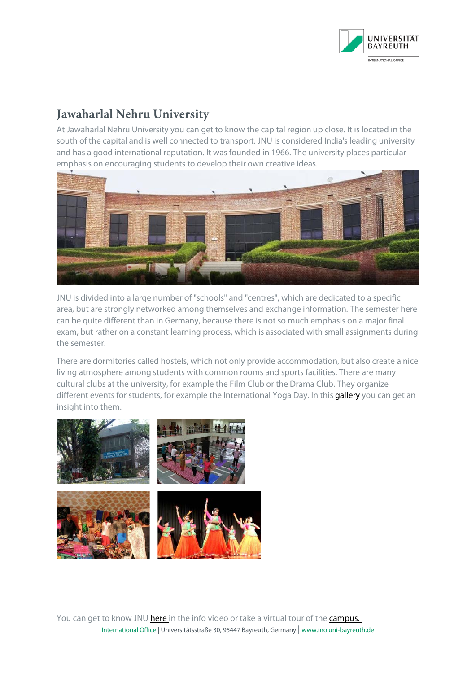

## **Jawaharlal Nehru University**

At Jawaharlal Nehru University you can get to know the capital region up close. It is located in the south of the capital and is well connected to transport. JNU is considered India's leading university and has a good international reputation. It was founded in 1966. The university places particular emphasis on encouraging students to develop their own creative ideas.



JNU is divided into a large number of "schools" and "centres", which are dedicated to a specific area, but are strongly networked among themselves and exchange information. The semester here can be quite different than in Germany, because there is not so much emphasis on a major final exam, but rather on a constant learning process, which is associated with small assignments during the semester.

There are dormitories called hostels, which not only provide accommodation, but also create a nice living atmosphere among students with common rooms and sports facilities. There are many cultural clubs at the university, for example the Film Club or the Drama Club. They organize different events for students, for example the International Yoga Day. In this **gallery** you can get an insight into them.



International Office | Universitätsstraße 30, 95447 Bayreuth, Germany | [www.ino.uni-bayreuth.de](http://www.ino.uni-bayreuth.de/) You can get to know JNU [here in t](https://jnu.ac.in/sites/default/files/film_documentory.html)he info video or take a virtual tour of the campus.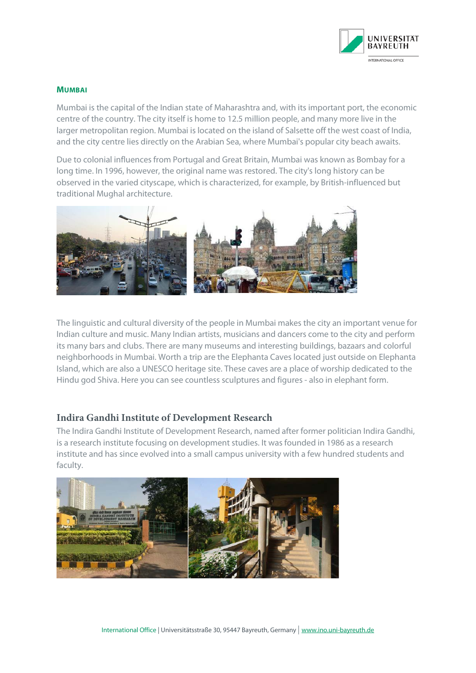

#### **MUMBAI**

Mumbai is the capital of the Indian state of Maharashtra and, with its important port, the economic centre of the country. The city itself is home to 12.5 million people, and many more live in the larger metropolitan region. Mumbai is located on the island of Salsette off the west coast of India, and the city centre lies directly on the Arabian Sea, where Mumbai's popular city beach awaits.

Due to colonial influences from Portugal and Great Britain, Mumbai was known as Bombay for a long time. In 1996, however, the original name was restored. The city's long history can be observed in the varied cityscape, which is characterized, for example, by British-influenced but traditional Mughal architecture.



The linguistic and cultural diversity of the people in Mumbai makes the city an important venue for Indian culture and music. Many Indian artists, musicians and dancers come to the city and perform its many bars and clubs. There are many museums and interesting buildings, bazaars and colorful neighborhoods in Mumbai. Worth a trip are the Elephanta Caves located just outside on Elephanta Island, which are also a UNESCO heritage site. These caves are a place of worship dedicated to the Hindu god Shiva. Here you can see countless sculptures and figures - also in elephant form.

### **Indira Gandhi Institute of Development Research**

The Indira Gandhi Institute of Development Research, named after former politician Indira Gandhi, is a research institute focusing on development studies. It was founded in 1986 as a research institute and has since evolved into a small campus university with a few hundred students and faculty.